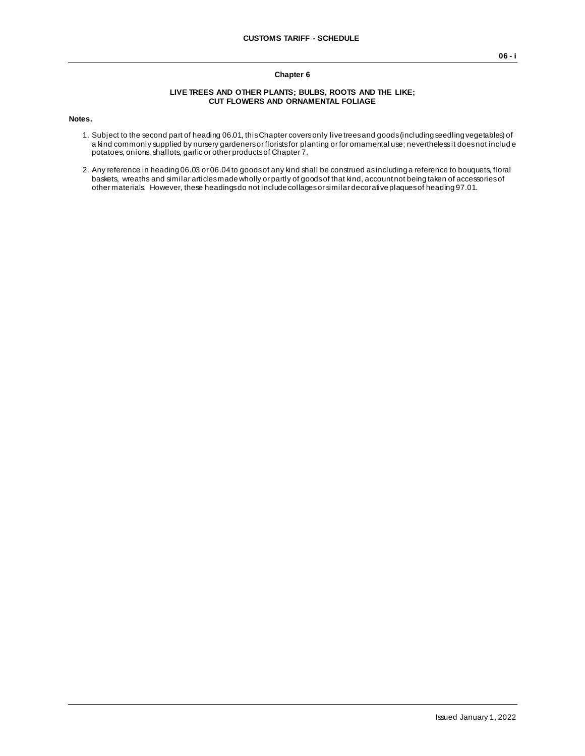### **Chapter 6**

#### **LIVE TREES AND OTHER PLANTS; BULBS, ROOTS AND THE LIKE; CUT FLOWERS AND ORNAMENTAL FOLIAGE**

#### **Notes.**

- 1. Subject to the second part of heading 06.01, this Chapter covers only live trees and goods (including seedling vegetables) of a kind commonly supplied by nursery gardeners or florists for planting or for ornamental use; nevertheless it does not includ e potatoes, onions, shallots, garlic or other products of Chapter 7.
- 2. Any reference in heading 06.03 or 06.04 to goods of any kind shall be construed as including a reference to bouquets, floral baskets, wreaths and similar articles made wholly or partly of goods of that kind, account not being taken of accessories of other materials. However, these headings do not include collages or similar decorative plaques of heading 97.01.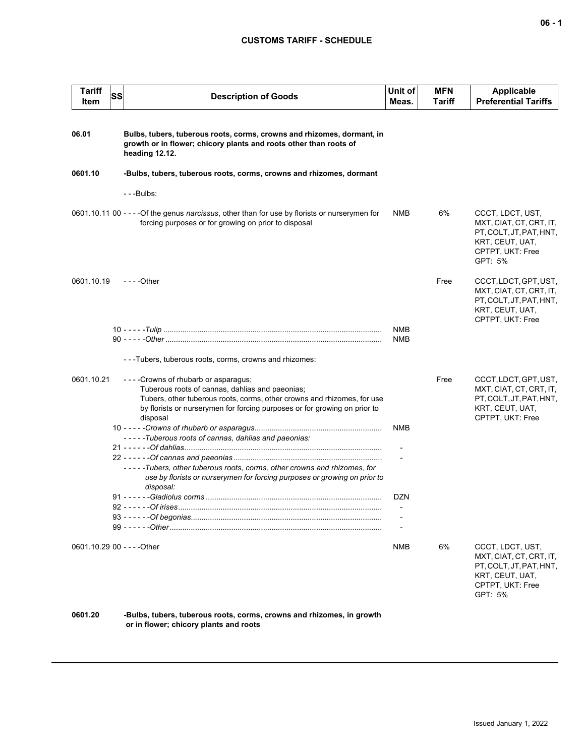## **CUSTOMS TARIFF - SCHEDULE**

| <b>Tariff</b><br>Item       | <b>SS</b> | <b>Description of Goods</b>                                                                                                                                                                                                                                    | Unit of<br>Meas.  | <b>MFN</b><br>Tariff | <b>Applicable</b><br><b>Preferential Tariffs</b>                                                                         |
|-----------------------------|-----------|----------------------------------------------------------------------------------------------------------------------------------------------------------------------------------------------------------------------------------------------------------------|-------------------|----------------------|--------------------------------------------------------------------------------------------------------------------------|
| 06.01                       |           | Bulbs, tubers, tuberous roots, corms, crowns and rhizomes, dormant, in<br>growth or in flower; chicory plants and roots other than roots of<br>heading 12.12.                                                                                                  |                   |                      |                                                                                                                          |
| 0601.10                     |           | -Bulbs, tubers, tuberous roots, corms, crowns and rhizomes, dormant                                                                                                                                                                                            |                   |                      |                                                                                                                          |
|                             |           | - - -Bulbs:                                                                                                                                                                                                                                                    |                   |                      |                                                                                                                          |
|                             |           | 0601.10.11 00 - - - - Of the genus <i>narcissus</i> , other than for use by florists or nurserymen for<br>forcing purposes or for growing on prior to disposal                                                                                                 | NMB               | 6%                   | CCCT, LDCT, UST,<br>MXT, CIAT, CT, CRT, IT,<br>PT, COLT, JT, PAT, HNT,<br>KRT, CEUT, UAT,<br>CPTPT, UKT: Free<br>GPT: 5% |
| 0601.10.19                  |           | $--$ Other                                                                                                                                                                                                                                                     |                   | Free                 | CCCT, LDCT, GPT, UST,<br>MXT, CIAT, CT, CRT, IT,<br>PT, COLT, JT, PAT, HNT,<br>KRT, CEUT, UAT,<br>CPTPT, UKT: Free       |
|                             |           |                                                                                                                                                                                                                                                                | NMB<br><b>NMB</b> |                      |                                                                                                                          |
|                             |           | ---Tubers, tuberous roots, corms, crowns and rhizomes:                                                                                                                                                                                                         |                   |                      |                                                                                                                          |
| 0601.10.21                  |           | - - - - Crowns of rhubarb or asparagus;<br>Tuberous roots of cannas, dahlias and paeonias;<br>Tubers, other tuberous roots, corms, other crowns and rhizomes, for use<br>by florists or nurserymen for forcing purposes or for growing on prior to<br>disposal |                   | Free                 | CCCT, LDCT, GPT, UST,<br>MXT, CIAT, CT, CRT, IT,<br>PT, COLT, JT, PAT, HNT,<br>KRT, CEUT, UAT,<br>CPTPT, UKT: Free       |
|                             |           | -----Tuberous roots of cannas, dahlias and paeonias:                                                                                                                                                                                                           | <b>NMB</b>        |                      |                                                                                                                          |
|                             |           |                                                                                                                                                                                                                                                                |                   |                      |                                                                                                                          |
|                             |           | -----Tubers, other tuberous roots, corms, other crowns and rhizomes, for<br>use by florists or nurserymen for forcing purposes or growing on prior to<br>disposal:                                                                                             |                   |                      |                                                                                                                          |
|                             |           |                                                                                                                                                                                                                                                                | DZN               |                      |                                                                                                                          |
|                             |           |                                                                                                                                                                                                                                                                |                   |                      |                                                                                                                          |
|                             |           |                                                                                                                                                                                                                                                                |                   |                      |                                                                                                                          |
| 0601.10.29 00 - - - - Other |           |                                                                                                                                                                                                                                                                | NMB               | 6%                   | CCCT, LDCT, UST,<br>MXT, CIAT, CT, CRT, IT,<br>PT, COLT, JT, PAT, HNT,<br>KRT, CEUT, UAT,<br>CPTPT, UKT: Free<br>GPT: 5% |

**0601.20 -Bulbs, tubers, tuberous roots, corms, crowns and rhizomes, in growth or in flower; chicory plants and roots**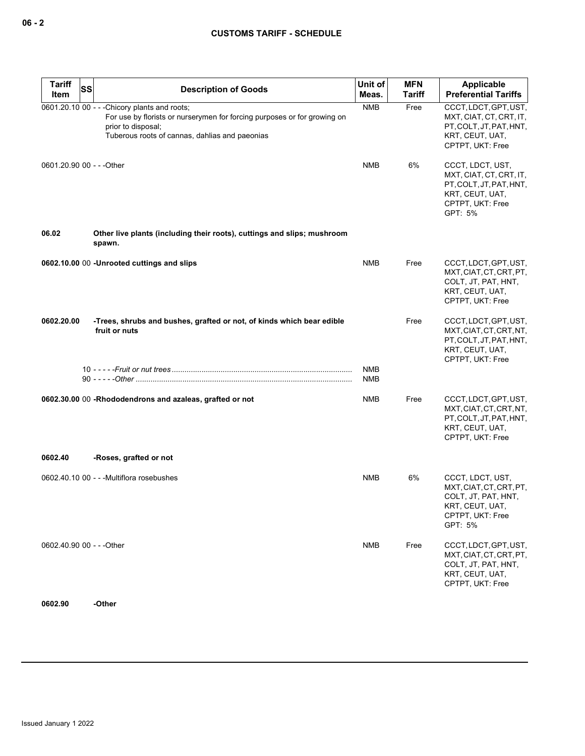| <b>Tariff</b>             | SS | <b>Description of Goods</b>                                                                                                                                                                       | Unit of           | <b>MFN</b>    | <b>Applicable</b>                                                                                                        |
|---------------------------|----|---------------------------------------------------------------------------------------------------------------------------------------------------------------------------------------------------|-------------------|---------------|--------------------------------------------------------------------------------------------------------------------------|
| Item                      |    |                                                                                                                                                                                                   | Meas.             | <b>Tariff</b> | <b>Preferential Tariffs</b>                                                                                              |
|                           |    | 0601.20.10 00 - - - Chicory plants and roots;<br>For use by florists or nurserymen for forcing purposes or for growing on<br>prior to disposal;<br>Tuberous roots of cannas, dahlias and paeonias | <b>NMB</b>        | Free          | CCCT, LDCT, GPT, UST,<br>MXT, CIAT, CT, CRT, IT,<br>PT, COLT, JT, PAT, HNT,<br>KRT, CEUT, UAT,<br>CPTPT, UKT: Free       |
| 0601.20.90 00 - - - Other |    |                                                                                                                                                                                                   | <b>NMB</b>        | 6%            | CCCT, LDCT, UST,<br>MXT, CIAT, CT, CRT, IT,<br>PT, COLT, JT, PAT, HNT,<br>KRT, CEUT, UAT,<br>CPTPT, UKT: Free<br>GPT: 5% |
| 06.02                     |    | Other live plants (including their roots), cuttings and slips; mushroom<br>spawn.                                                                                                                 |                   |               |                                                                                                                          |
|                           |    | 0602.10.00 00 -Unrooted cuttings and slips                                                                                                                                                        | <b>NMB</b>        | Free          | CCCT, LDCT, GPT, UST,<br>MXT, CIAT, CT, CRT, PT,<br>COLT, JT, PAT, HNT,<br>KRT, CEUT, UAT,<br>CPTPT, UKT: Free           |
| 0602.20.00                |    | -Trees, shrubs and bushes, grafted or not, of kinds which bear edible<br>fruit or nuts                                                                                                            |                   | Free          | CCCT, LDCT, GPT, UST,<br>MXT, CIAT, CT, CRT, NT,<br>PT, COLT, JT, PAT, HNT,<br>KRT, CEUT, UAT,<br>CPTPT, UKT: Free       |
|                           |    |                                                                                                                                                                                                   | <b>NMB</b><br>NMB |               |                                                                                                                          |
|                           |    | 0602.30.00 00 -Rhododendrons and azaleas, grafted or not                                                                                                                                          | <b>NMB</b>        | Free          | CCCT, LDCT, GPT, UST,<br>MXT, CIAT, CT, CRT, NT,<br>PT, COLT, JT, PAT, HNT,<br>KRT, CEUT, UAT,<br>CPTPT, UKT: Free       |
| 0602.40                   |    | -Roses, grafted or not                                                                                                                                                                            |                   |               |                                                                                                                          |
|                           |    | 0602.40.10 00 - - - Multiflora rosebushes                                                                                                                                                         | <b>NMB</b>        | 6%            | CCCT, LDCT, UST,<br>MXT, CIAT, CT, CRT, PT,<br>COLT, JT, PAT, HNT,<br>KRT, CEUT, UAT,<br>CPTPT, UKT: Free<br>GPT: 5%     |
| 0602.40.90 00 - - - Other |    |                                                                                                                                                                                                   | <b>NMB</b>        | Free          | CCCT, LDCT, GPT, UST,<br>MXT, CIAT, CT, CRT, PT,<br>COLT, JT, PAT, HNT,<br>KRT, CEUT, UAT,<br>CPTPT, UKT: Free           |

**0602.90 -Other**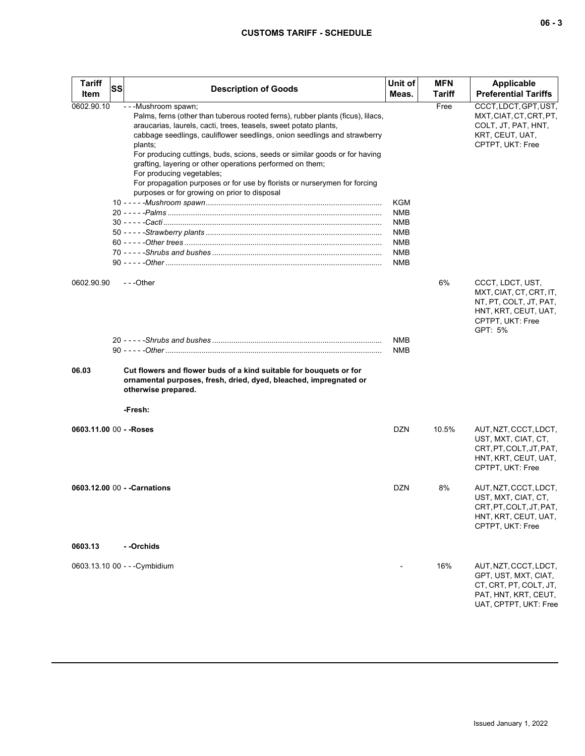# **CUSTOMS TARIFF - SCHEDULE**

| <b>Tariff</b><br>Item   | <b>SS</b> | <b>Description of Goods</b>                                                                                                                                                                                                                                                                                                                                                                                                                                                                                                                                              | Unit of<br>Meas.                                                                               | MFN<br>Tariff | <b>Applicable</b><br><b>Preferential Tariffs</b>                                                                             |
|-------------------------|-----------|--------------------------------------------------------------------------------------------------------------------------------------------------------------------------------------------------------------------------------------------------------------------------------------------------------------------------------------------------------------------------------------------------------------------------------------------------------------------------------------------------------------------------------------------------------------------------|------------------------------------------------------------------------------------------------|---------------|------------------------------------------------------------------------------------------------------------------------------|
| 0602.90.10              |           | - - - Mushroom spawn;<br>Palms, ferns (other than tuberous rooted ferns), rubber plants (ficus), lilacs,<br>araucarias, laurels, cacti, trees, teasels, sweet potato plants,<br>cabbage seedlings, cauliflower seedlings, onion seedlings and strawberry<br>plants;<br>For producing cuttings, buds, scions, seeds or similar goods or for having<br>grafting, layering or other operations performed on them;<br>For producing vegetables;<br>For propagation purposes or for use by florists or nurserymen for forcing<br>purposes or for growing on prior to disposal | <b>KGM</b><br><b>NMB</b><br><b>NMB</b><br><b>NMB</b><br><b>NMB</b><br><b>NMB</b><br><b>NMB</b> | Free          | CCCT, LDCT, GPT, UST,<br>MXT, CIAT, CT, CRT, PT,<br>COLT, JT, PAT, HNT,<br>KRT, CEUT, UAT,<br>CPTPT, UKT: Free               |
| 0602.90.90              |           | $- -$ Other                                                                                                                                                                                                                                                                                                                                                                                                                                                                                                                                                              |                                                                                                | 6%            | CCCT, LDCT, UST,<br>MXT, CIAT, CT, CRT, IT,<br>NT, PT, COLT, JT, PAT,<br>HNT, KRT, CEUT, UAT,<br>CPTPT, UKT: Free<br>GPT: 5% |
| 06.03                   |           | Cut flowers and flower buds of a kind suitable for bouquets or for<br>ornamental purposes, fresh, dried, dyed, bleached, impregnated or                                                                                                                                                                                                                                                                                                                                                                                                                                  | NMB<br><b>NMB</b>                                                                              |               |                                                                                                                              |
|                         |           | otherwise prepared.<br>-Fresh:                                                                                                                                                                                                                                                                                                                                                                                                                                                                                                                                           |                                                                                                |               |                                                                                                                              |
| 0603.11.00 00 - - Roses |           |                                                                                                                                                                                                                                                                                                                                                                                                                                                                                                                                                                          | <b>DZN</b>                                                                                     | 10.5%         | AUT, NZT, CCCT, LDCT,<br>UST, MXT, CIAT, CT,<br>CRT, PT, COLT, JT, PAT,<br>HNT, KRT, CEUT, UAT,<br>CPTPT, UKT: Free          |
|                         |           | 0603.12.00 00 - - Carnations                                                                                                                                                                                                                                                                                                                                                                                                                                                                                                                                             | DZN                                                                                            | 8%            | AUT, NZT, CCCT, LDCT,<br>UST, MXT, CIAT, CT,<br>CRT, PT, COLT, JT, PAT,<br>HNT, KRT, CEUT, UAT,<br>CPTPT, UKT: Free          |
| 0603.13                 |           | - -Orchids                                                                                                                                                                                                                                                                                                                                                                                                                                                                                                                                                               |                                                                                                |               |                                                                                                                              |
|                         |           | 0603.13.10 00 - - - Cymbidium                                                                                                                                                                                                                                                                                                                                                                                                                                                                                                                                            |                                                                                                | 16%           | AUT, NZT, CCCT, LDCT,<br>GPT, UST, MXT, CIAT,<br>CT, CRT, PT, COLT, JT,<br>PAT, HNT, KRT, CEUT,<br>UAT, CPTPT, UKT: Free     |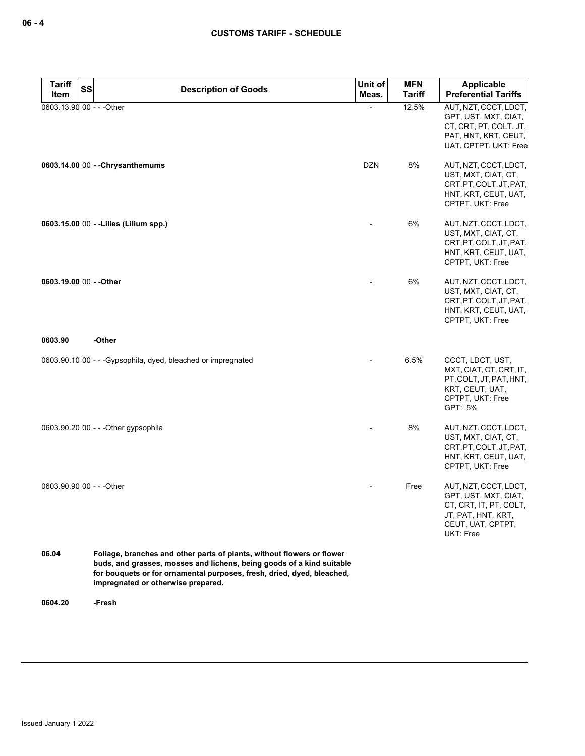| <b>Tariff</b><br><b>SS</b>        | <b>Description of Goods</b>                                                                                                                                                                                                                                     | Unit of    | <b>MFN</b>             | Applicable                                                                                                                      |
|-----------------------------------|-----------------------------------------------------------------------------------------------------------------------------------------------------------------------------------------------------------------------------------------------------------------|------------|------------------------|---------------------------------------------------------------------------------------------------------------------------------|
| Item<br>0603.13.90 00 - - - Other |                                                                                                                                                                                                                                                                 | Meas.      | <b>Tariff</b><br>12.5% | <b>Preferential Tariffs</b><br>AUT, NZT, CCCT, LDCT,                                                                            |
|                                   |                                                                                                                                                                                                                                                                 |            |                        | GPT, UST, MXT, CIAT,<br>CT, CRT, PT, COLT, JT,<br>PAT, HNT, KRT, CEUT,<br>UAT, CPTPT, UKT: Free                                 |
|                                   | 0603.14.00 00 - - Chrysanthemums                                                                                                                                                                                                                                | <b>DZN</b> | 8%                     | AUT, NZT, CCCT, LDCT,<br>UST, MXT, CIAT, CT,<br>CRT, PT, COLT, JT, PAT,<br>HNT, KRT, CEUT, UAT,<br>CPTPT, UKT: Free             |
|                                   | 0603.15.00 00 - - Lilies (Lilium spp.)                                                                                                                                                                                                                          |            | 6%                     | AUT, NZT, CCCT, LDCT,<br>UST, MXT, CIAT, CT,<br>CRT, PT, COLT, JT, PAT,<br>HNT, KRT, CEUT, UAT,<br>CPTPT, UKT: Free             |
| 0603.19.00 00 - - Other           |                                                                                                                                                                                                                                                                 |            | 6%                     | AUT, NZT, CCCT, LDCT,<br>UST, MXT, CIAT, CT,<br>CRT.PT.COLT.JT.PAT.<br>HNT, KRT, CEUT, UAT,<br>CPTPT, UKT: Free                 |
| 0603.90                           | -Other                                                                                                                                                                                                                                                          |            |                        |                                                                                                                                 |
|                                   | 0603.90.10 00 - - - Gypsophila, dyed, bleached or impregnated                                                                                                                                                                                                   |            | 6.5%                   | CCCT, LDCT, UST,<br>MXT, CIAT, CT, CRT, IT,<br>PT, COLT, JT, PAT, HNT,<br>KRT, CEUT, UAT,<br>CPTPT, UKT: Free<br>GPT: 5%        |
|                                   | 0603.90.20 00 - - - Other gypsophila                                                                                                                                                                                                                            |            | 8%                     | AUT, NZT, CCCT, LDCT,<br>UST, MXT, CIAT, CT,<br>CRT, PT, COLT, JT, PAT,<br>HNT, KRT, CEUT, UAT,<br>CPTPT, UKT: Free             |
| 0603.90.90 00 - - - Other         |                                                                                                                                                                                                                                                                 |            | Free                   | AUT, NZT, CCCT, LDCT,<br>GPT, UST, MXT, CIAT,<br>CT, CRT, IT, PT, COLT,<br>JT, PAT, HNT, KRT,<br>CEUT, UAT, CPTPT,<br>UKT: Free |
| 06.04                             | Foliage, branches and other parts of plants, without flowers or flower<br>buds, and grasses, mosses and lichens, being goods of a kind suitable<br>for bouquets or for ornamental purposes, fresh, dried, dyed, bleached,<br>impregnated or otherwise prepared. |            |                        |                                                                                                                                 |

**0604.20 -Fresh**